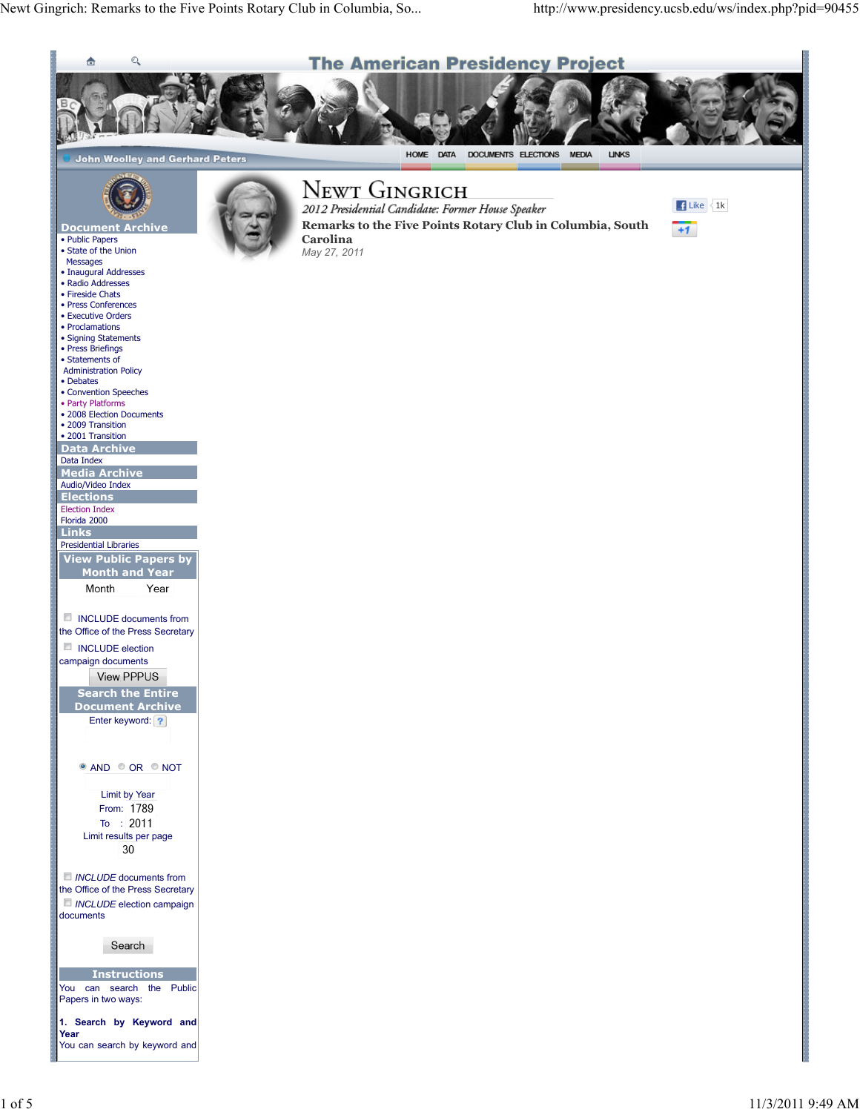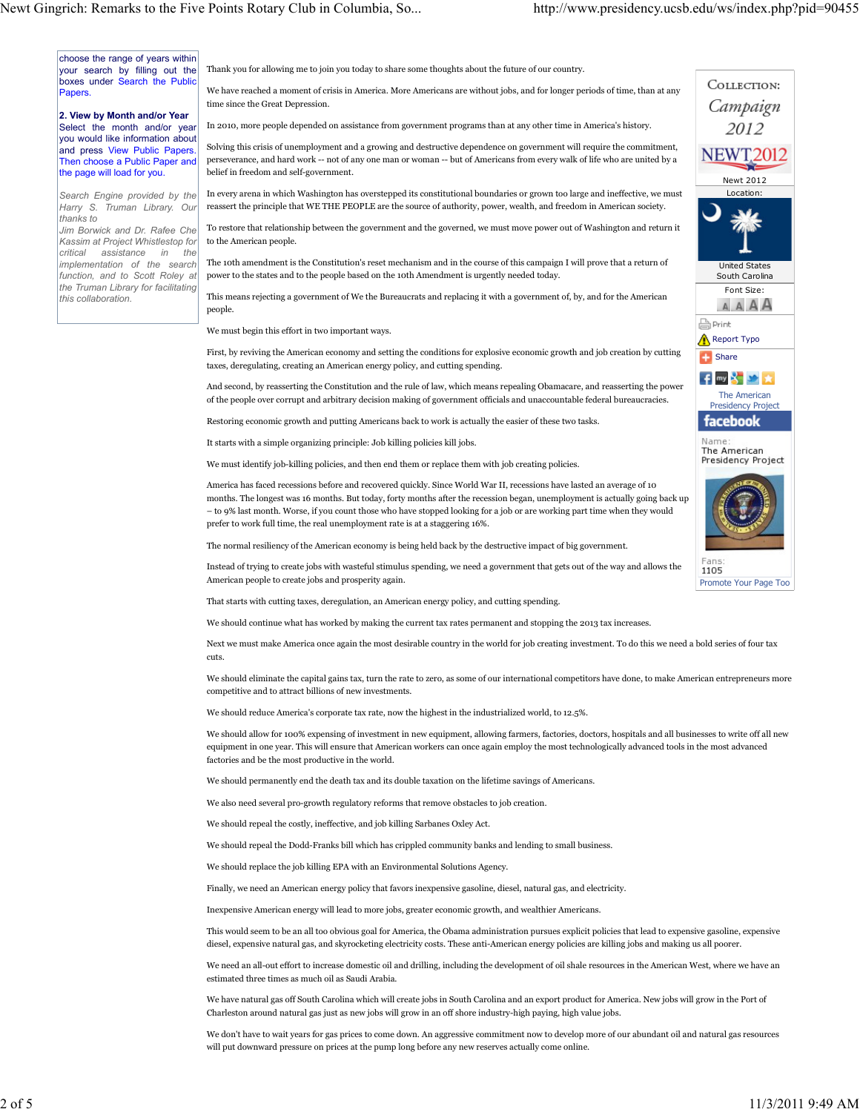choose the range of years within your search by filling out the boxes under Search the Public **Papers** 

2. View by Month and/or Year Select the month and/or year you would like information about and press View Public Papers. Then choose a Public Paper and the page will load for you.

Search Engine provided by the Harry S. Truman Library. Our thanks to

Jim Borwick and Dr. Rafee Che Kassim at Project Whistlestop for critical assistance in the implementation of the search function, and to Scott Roley at the Truman Library for facilitating this collaboration.

Thank you for allowing me to join you today to share some thoughts about the future of our country.

We have reached a moment of crisis in America. More Americans are without jobs, and for longer periods of time, than at any time since the Great Depression.

In 2010, more people depended on assistance from government programs than at any other time in America's history.

Solving this crisis of unemployment and a growing and destructive dependence on government will require the commitment, perseverance, and hard work -- not of any one man or woman -- but of Americans from every walk of life who are united by a belief in freedom and self-government.

In every arena in which Washington has overstepped its constitutional boundaries or grown too large and ineffective, we must reassert the principle that WE THE PEOPLE are the source of authority, power, wealth, and freedom in American society.

To restore that relationship between the government and the governed, we must move power out of Washington and return it to the American people.

The 10th amendment is the Constitution's reset mechanism and in the course of this campaign I will prove that a return of power to the states and to the people based on the 10th Amendment is urgently needed today.

This means rejecting a government of We the Bureaucrats and replacing it with a government of, by, and for the American people.

We must begin this effort in two important ways.

First, by reviving the American economy and setting the conditions for explosive economic growth and job creation by cutting taxes, deregulating, creating an American energy policy, and cutting spending.

And second, by reasserting the Constitution and the rule of law, which means repealing Obamacare, and reasserting the power of the people over corrupt and arbitrary decision making of government officials and unaccountable federal bureaucracies.

Restoring economic growth and putting Americans back to work is actually the easier of these two tasks.

It starts with a simple organizing principle: Job killing policies kill jobs.

We must identify job-killing policies, and then end them or replace them with job creating policies.

America has faced recessions before and recovered quickly. Since World War II, recessions have lasted an average of 10 months. The longest was 16 months. But today, forty months after the recession began, unemployment is actually going back up – to 9% last month. Worse, if you count those who have stopped looking for a job or are working part time when they would prefer to work full time, the real unemployment rate is at a staggering 16%.

The normal resiliency of the American economy is being held back by the destructive impact of big government.

Instead of trying to create jobs with wasteful stimulus spending, we need a government that gets out of the way and allows the American people to create jobs and prosperity again.

That starts with cutting taxes, deregulation, an American energy policy, and cutting spending.

We should continue what has worked by making the current tax rates permanent and stopping the 2013 tax increases.

Next we must make America once again the most desirable country in the world for job creating investment. To do this we need a bold series of four tax cuts.

We should eliminate the capital gains tax, turn the rate to zero, as some of our international competitors have done, to make American entrepreneurs more competitive and to attract billions of new investments.

We should reduce America's corporate tax rate, now the highest in the industrialized world, to 12.5%.

We should allow for 100% expensing of investment in new equipment, allowing farmers, factories, doctors, hospitals and all businesses to write off all new equipment in one year. This will ensure that American workers can once again employ the most technologically advanced tools in the most advanced factories and be the most productive in the world.

We should permanently end the death tax and its double taxation on the lifetime savings of Americans.

We also need several pro-growth regulatory reforms that remove obstacles to job creation.

We should repeal the costly, ineffective, and job killing Sarbanes Oxley Act.

We should repeal the Dodd-Franks bill which has crippled community banks and lending to small business.

We should replace the job killing EPA with an Environmental Solutions Agency.

Finally, we need an American energy policy that favors inexpensive gasoline, diesel, natural gas, and electricity.

Inexpensive American energy will lead to more jobs, greater economic growth, and wealthier Americans.

This would seem to be an all too obvious goal for America, the Obama administration pursues explicit policies that lead to expensive gasoline, expensive diesel, expensive natural gas, and skyrocketing electricity costs. These anti-American energy policies are killing jobs and making us all poorer.

We need an all-out effort to increase domestic oil and drilling, including the development of oil shale resources in the American West, where we have an estimated three times as much oil as Saudi Arabia.

We have natural gas off South Carolina which will create jobs in South Carolina and an export product for America. New jobs will grow in the Port of Charleston around natural gas just as new jobs will grow in an off shore industry-high paying, high value jobs.

We don't have to wait years for gas prices to come down. An aggressive commitment now to develop more of our abundant oil and natural gas resources will put downward pressure on prices at the pump long before any new reserves actually come online.

United States South Carolina Font Size: **AAAA A** Print Report Typo **Share f**™ 8 2 ★ The American Presidency Project facebook Name The American Presidency Project 1105 Promote Your Page Too

Newt 2012 Location:

COLLECTION: Campaign 2012 **NEWT2012**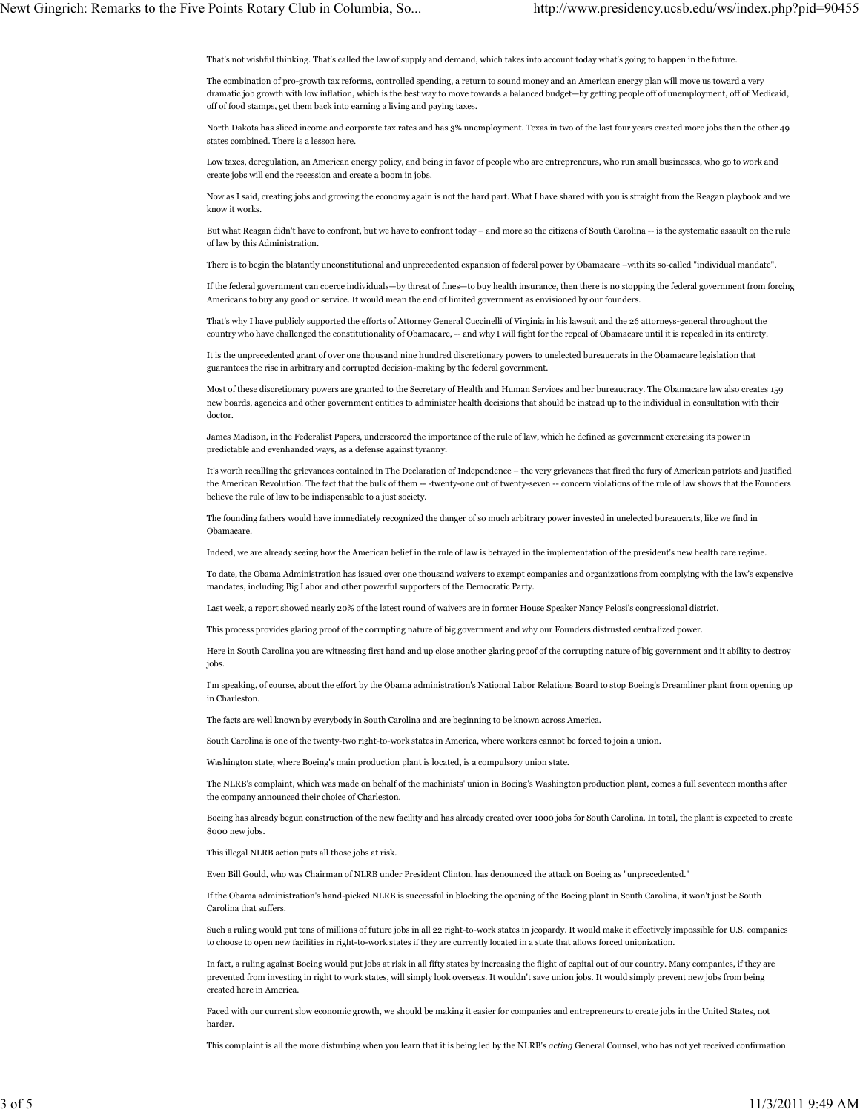That's not wishful thinking. That's called the law of supply and demand, which takes into account today what's going to happen in the future.

The combination of pro-growth tax reforms, controlled spending, a return to sound money and an American energy plan will move us toward a very dramatic job growth with low inflation, which is the best way to move towards a balanced budget—by getting people off of unemployment, off of Medicaid, off of food stamps, get them back into earning a living and paying taxes.

North Dakota has sliced income and corporate tax rates and has 3% unemployment. Texas in two of the last four years created more jobs than the other 49 states combined. There is a lesson here.

Low taxes, deregulation, an American energy policy, and being in favor of people who are entrepreneurs, who run small businesses, who go to work and create jobs will end the recession and create a boom in jobs.

Now as I said, creating jobs and growing the economy again is not the hard part. What I have shared with you is straight from the Reagan playbook and we know it works.

But what Reagan didn't have to confront, but we have to confront today – and more so the citizens of South Carolina -- is the systematic assault on the rule of law by this Administration.

There is to begin the blatantly unconstitutional and unprecedented expansion of federal power by Obamacare –with its so-called "individual mandate".

If the federal government can coerce individuals—by threat of fines—to buy health insurance, then there is no stopping the federal government from forcing Americans to buy any good or service. It would mean the end of limited government as envisioned by our founders.

That's why I have publicly supported the efforts of Attorney General Cuccinelli of Virginia in his lawsuit and the 26 attorneys-general throughout the country who have challenged the constitutionality of Obamacare, -- and why I will fight for the repeal of Obamacare until it is repealed in its entirety.

It is the unprecedented grant of over one thousand nine hundred discretionary powers to unelected bureaucrats in the Obamacare legislation that guarantees the rise in arbitrary and corrupted decision-making by the federal government.

Most of these discretionary powers are granted to the Secretary of Health and Human Services and her bureaucracy. The Obamacare law also creates 159 new boards, agencies and other government entities to administer health decisions that should be instead up to the individual in consultation with their doctor.

James Madison, in the Federalist Papers, underscored the importance of the rule of law, which he defined as government exercising its power in predictable and evenhanded ways, as a defense against tyranny.

It's worth recalling the grievances contained in The Declaration of Independence – the very grievances that fired the fury of American patriots and justified the American Revolution. The fact that the bulk of them -- -twenty-one out of twenty-seven -- concern violations of the rule of law shows that the Founders believe the rule of law to be indispensable to a just society.

The founding fathers would have immediately recognized the danger of so much arbitrary power invested in unelected bureaucrats, like we find in Obamacare.

Indeed, we are already seeing how the American belief in the rule of law is betrayed in the implementation of the president's new health care regime.

To date, the Obama Administration has issued over one thousand waivers to exempt companies and organizations from complying with the law's expensive mandates, including Big Labor and other powerful supporters of the Democratic Party.

Last week, a report showed nearly 20% of the latest round of waivers are in former House Speaker Nancy Pelosi's congressional district.

This process provides glaring proof of the corrupting nature of big government and why our Founders distrusted centralized power.

Here in South Carolina you are witnessing first hand and up close another glaring proof of the corrupting nature of big government and it ability to destroy jobs.

I'm speaking, of course, about the effort by the Obama administration's National Labor Relations Board to stop Boeing's Dreamliner plant from opening up in Charleston.

The facts are well known by everybody in South Carolina and are beginning to be known across America.

South Carolina is one of the twenty-two right-to-work states in America, where workers cannot be forced to join a union.

Washington state, where Boeing's main production plant is located, is a compulsory union state.

The NLRB's complaint, which was made on behalf of the machinists' union in Boeing's Washington production plant, comes a full seventeen months after the company announced their choice of Charleston.

Boeing has already begun construction of the new facility and has already created over 1000 jobs for South Carolina. In total, the plant is expected to create 8000 new jobs.

This illegal NLRB action puts all those jobs at risk.

Even Bill Gould, who was Chairman of NLRB under President Clinton, has denounced the attack on Boeing as "unprecedented."

If the Obama administration's hand-picked NLRB is successful in blocking the opening of the Boeing plant in South Carolina, it won't just be South Carolina that suffers.

Such a ruling would put tens of millions of future jobs in all 22 right-to-work states in jeopardy. It would make it effectively impossible for U.S. companies to choose to open new facilities in right-to-work states if they are currently located in a state that allows forced unionization.

In fact, a ruling against Boeing would put jobs at risk in all fifty states by increasing the flight of capital out of our country. Many companies, if they are prevented from investing in right to work states, will simply look overseas. It wouldn't save union jobs. It would simply prevent new jobs from being created here in America.

Faced with our current slow economic growth, we should be making it easier for companies and entrepreneurs to create jobs in the United States, not harder.

This complaint is all the more disturbing when you learn that it is being led by the NLRB's acting General Counsel, who has not yet received confirmation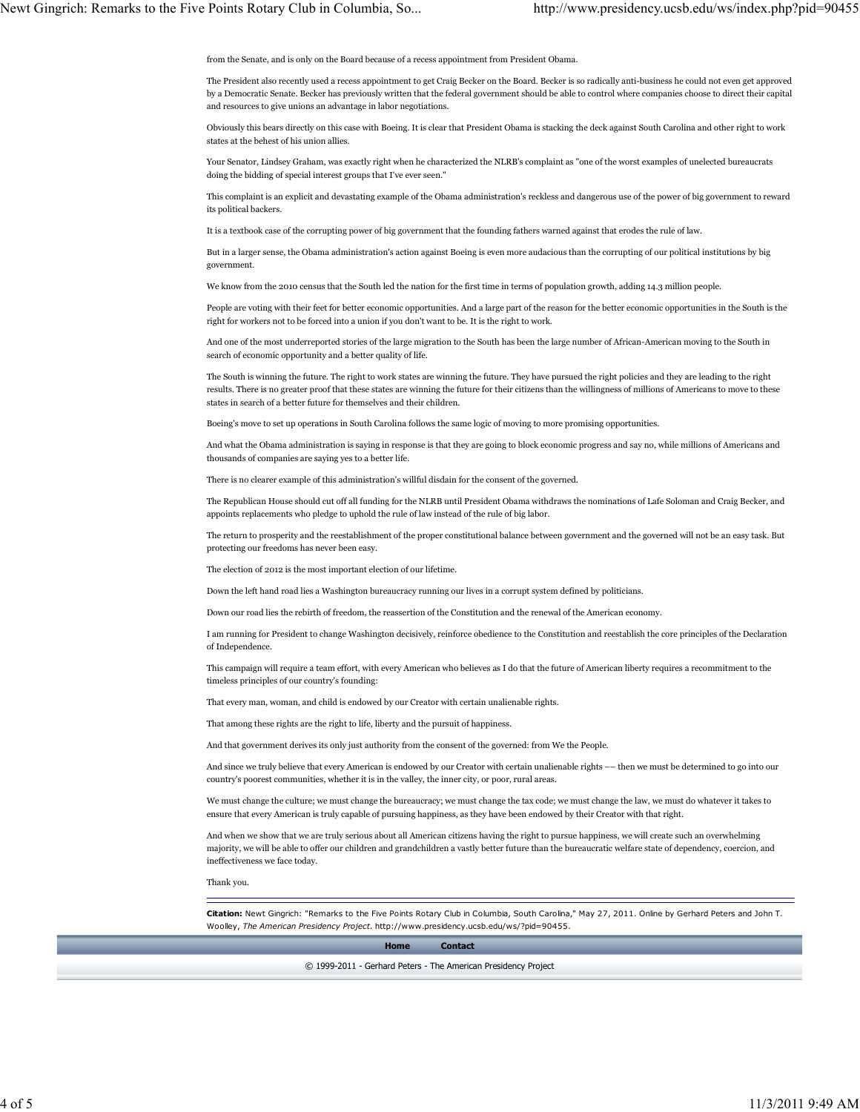from the Senate, and is only on the Board because of a recess appointment from President Obama.

The President also recently used a recess appointment to get Craig Becker on the Board. Becker is so radically anti-business he could not even get approved by a Democratic Senate. Becker has previously written that the federal government should be able to control where companies choose to direct their capital and resources to give unions an advantage in labor negotiations.

Obviously this bears directly on this case with Boeing. It is clear that President Obama is stacking the deck against South Carolina and other right to work states at the behest of his union allies.

Your Senator, Lindsey Graham, was exactly right when he characterized the NLRB's complaint as "one of the worst examples of unelected bureaucrats doing the bidding of special interest groups that I've ever seen."

This complaint is an explicit and devastating example of the Obama administration's reckless and dangerous use of the power of big government to reward its political backers.

It is a textbook case of the corrupting power of big government that the founding fathers warned against that erodes the rule of law.

But in a larger sense, the Obama administration's action against Boeing is even more audacious than the corrupting of our political institutions by big government.

We know from the 2010 census that the South led the nation for the first time in terms of population growth, adding 14.3 million people.

People are voting with their feet for better economic opportunities. And a large part of the reason for the better economic opportunities in the South is the right for workers not to be forced into a union if you don't want to be. It is the right to work.

And one of the most underreported stories of the large migration to the South has been the large number of African-American moving to the South in search of economic opportunity and a better quality of life.

The South is winning the future. The right to work states are winning the future. They have pursued the right policies and they are leading to the right results. There is no greater proof that these states are winning the future for their citizens than the willingness of millions of Americans to move to these states in search of a better future for themselves and their children.

Boeing's move to set up operations in South Carolina follows the same logic of moving to more promising opportunities.

And what the Obama administration is saying in response is that they are going to block economic progress and say no, while millions of Americans and thousands of companies are saying yes to a better life.

There is no clearer example of this administration's willful disdain for the consent of the governed.

The Republican House should cut off all funding for the NLRB until President Obama withdraws the nominations of Lafe Soloman and Craig Becker, and appoints replacements who pledge to uphold the rule of law instead of the rule of big labor.

The return to prosperity and the reestablishment of the proper constitutional balance between government and the governed will not be an easy task. But protecting our freedoms has never been easy.

The election of 2012 is the most important election of our lifetime.

Down the left hand road lies a Washington bureaucracy running our lives in a corrupt system defined by politicians.

Down our road lies the rebirth of freedom, the reassertion of the Constitution and the renewal of the American economy.

I am running for President to change Washington decisively, reinforce obedience to the Constitution and reestablish the core principles of the Declaration of Independence.

This campaign will require a team effort, with every American who believes as I do that the future of American liberty requires a recommitment to the timeless principles of our country's founding:

That every man, woman, and child is endowed by our Creator with certain unalienable rights.

That among these rights are the right to life, liberty and the pursuit of happiness.

And that government derives its only just authority from the consent of the governed: from We the People.

And since we truly believe that every American is endowed by our Creator with certain unalienable rights –– then we must be determined to go into our country's poorest communities, whether it is in the valley, the inner city, or poor, rural areas.

We must change the culture; we must change the bureaucracy; we must change the tax code; we must change the law, we must do whatever it takes to ensure that every American is truly capable of pursuing happiness, as they have been endowed by their Creator with that right.

And when we show that we are truly serious about all American citizens having the right to pursue happiness, we will create such an overwhelming majority, we will be able to offer our children and grandchildren a vastly better future than the bureaucratic welfare state of dependency, coercion, and ineffectiveness we face today.

Thank you.

Citation: Newt Gingrich: "Remarks to the Five Points Rotary Club in Columbia, South Carolina," May 27, 2011. Online by Gerhard Peters and John T. Woolley, The American Presidency Project. http://www.presidency.ucsb.edu/ws/?pid=90455.

Home Contact

© 1999-2011 - Gerhard Peters - The American Presidency Project